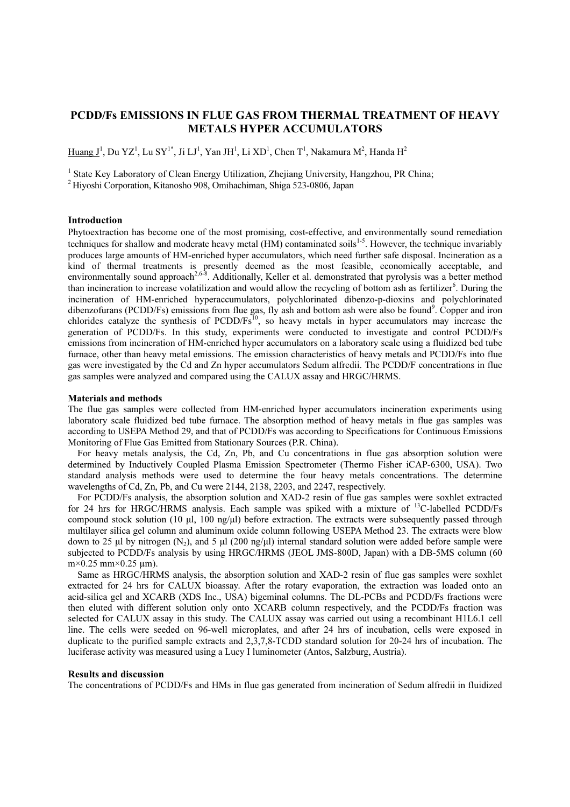# PCDD/Fs EMISSIONS IN FLUE GAS FROM THERMAL TREATMENT OF HEAVY METALS HYPER ACCUMULATORS

 $\rm{Huang~}J^{1}$ , Du YZ<sup>1</sup>, Lu SY<sup>1\*</sup>, Ji LJ<sup>1</sup>, Yan JH<sup>1</sup>, Li XD<sup>1</sup>, Chen T<sup>1</sup>, Nakamura M<sup>2</sup>, Handa H<sup>2</sup>

<sup>1</sup> State Key Laboratory of Clean Energy Utilization, Zhejiang University, Hangzhou, PR China;

<sup>2</sup>Hiyoshi Corporation, Kitanosho 908, Omihachiman, Shiga 523-0806, Japan

## Introduction

Phytoextraction has become one of the most promising, cost-effective, and environmentally sound remediation techniques for shallow and moderate heavy metal (HM) contaminated soils<sup>1-5</sup>. However, the technique invariably produces large amounts of HM-enriched hyper accumulators, which need further safe disposal. Incineration as a kind of thermal treatments is presently deemed as the most feasible, economically acceptable, and environmentally sound approach<sup>2,6-8</sup>. Additionally, Keller et al. demonstrated that pyrolysis was a better method than incineration to increase volatilization and would allow the recycling of bottom ash as fertilizer<sup>6</sup>. During the incineration of HM-enriched hyperaccumulators, polychlorinated dibenzo-p-dioxins and polychlorinated dibenzofurans (PCDD/Fs) emissions from flue gas, fly ash and bottom ash were also be found<sup>9</sup>. Copper and iron chlorides catalyze the synthesis of  $P CDD/Fs<sup>10</sup>$ , so heavy metals in hyper accumulators may increase the generation of PCDD/Fs. In this study, experiments were conducted to investigate and control PCDD/Fs emissions from incineration of HM-enriched hyper accumulators on a laboratory scale using a fluidized bed tube furnace, other than heavy metal emissions. The emission characteristics of heavy metals and PCDD/Fs into flue gas were investigated by the Cd and Zn hyper accumulators Sedum alfredii. The PCDD/F concentrations in flue gas samples were analyzed and compared using the CALUX assay and HRGC/HRMS.

### Materials and methods

The flue gas samples were collected from HM-enriched hyper accumulators incineration experiments using laboratory scale fluidized bed tube furnace. The absorption method of heavy metals in flue gas samples was according to USEPA Method 29, and that of PCDD/Fs was according to Specifications for Continuous Emissions Monitoring of Flue Gas Emitted from Stationary Sources (P.R. China).

For heavy metals analysis, the Cd, Zn, Pb, and Cu concentrations in flue gas absorption solution were determined by Inductively Coupled Plasma Emission Spectrometer (Thermo Fisher iCAP-6300, USA). Two standard analysis methods were used to determine the four heavy metals concentrations. The determine wavelengths of Cd, Zn, Pb, and Cu were 2144, 2138, 2203, and 2247, respectively.

For PCDD/Fs analysis, the absorption solution and XAD-2 resin of flue gas samples were soxhlet extracted for 24 hrs for HRGC/HRMS analysis. Each sample was spiked with a mixture of <sup>13</sup>C-labelled PCDD/Fs compound stock solution (10  $\mu$ l, 100 ng/ $\mu$ l) before extraction. The extracts were subsequently passed through multilayer silica gel column and aluminum oxide column following USEPA Method 23. The extracts were blow down to 25 µl by nitrogen (N<sub>2</sub>), and 5 µl (200 ng/µl) internal standard solution were added before sample were subjected to PCDD/Fs analysis by using HRGC/HRMS (JEOL JMS-800D, Japan) with a DB-5MS column (60  $m \times 0.25$  mm $\times 0.25$  µm).

Same as HRGC/HRMS analysis, the absorption solution and XAD-2 resin of flue gas samples were soxhlet extracted for 24 hrs for CALUX bioassay. After the rotary evaporation, the extraction was loaded onto an acid-silica gel and XCARB (XDS Inc., USA) bigeminal columns. The DL-PCBs and PCDD/Fs fractions were then eluted with different solution only onto XCARB column respectively, and the PCDD/Fs fraction was selected for CALUX assay in this study. The CALUX assay was carried out using a recombinant H1L6.1 cell line. The cells were seeded on 96-well microplates, and after 24 hrs of incubation, cells were exposed in duplicate to the purified sample extracts and 2,3,7,8-TCDD standard solution for 20-24 hrs of incubation. The luciferase activity was measured using a Lucy I luminometer (Antos, Salzburg, Austria).

### Results and discussion

The concentrations of PCDD/Fs and HMs in flue gas generated from incineration of Sedum alfredii in fluidized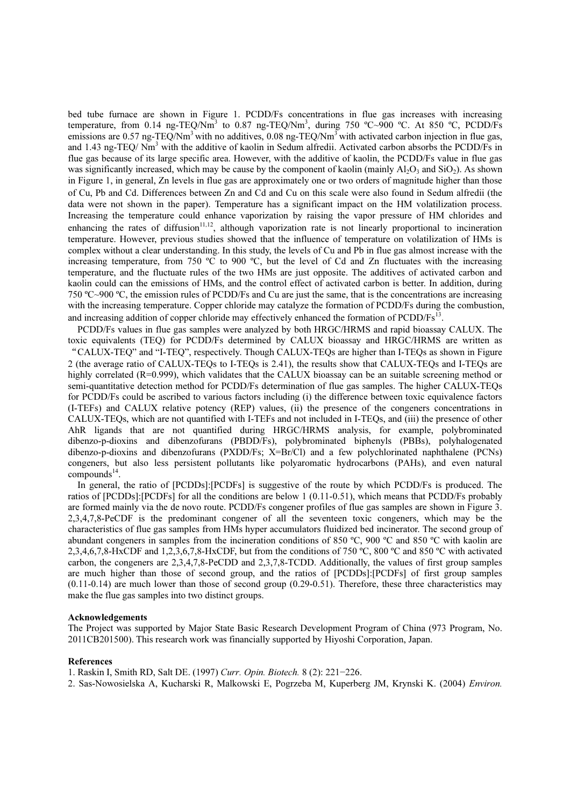bed tube furnace are shown in Figure 1. PCDD/Fs concentrations in flue gas increases with increasing temperature, from 0.14 ng-TEQ/Nm<sup>3</sup> to 0.87 ng-TEQ/Nm<sup>3</sup>, during 750 °C~900 °C. At 850 °C, PCDD/Fs emissions are 0.57 ng-TEQ/Nm<sup>3</sup> with no additives, 0.08 ng-TEQ/Nm<sup>3</sup> with activated carbon injection in flue gas, and 1.43 ng-TEQ/ Nm<sup>3</sup> with the additive of kaolin in Sedum alfredii. Activated carbon absorbs the PCDD/Fs in flue gas because of its large specific area. However, with the additive of kaolin, the PCDD/Fs value in flue gas was significantly increased, which may be cause by the component of kaolin (mainly  $A_1O_3$  and  $SiO_2$ ). As shown in Figure 1, in general, Zn levels in flue gas are approximately one or two orders of magnitude higher than those of Cu, Pb and Cd. Differences between Zn and Cd and Cu on this scale were also found in Sedum alfredii (the data were not shown in the paper). Temperature has a significant impact on the HM volatilization process. Increasing the temperature could enhance vaporization by raising the vapor pressure of HM chlorides and enhancing the rates of diffusion<sup>11,12</sup>, although vaporization rate is not linearly proportional to incineration temperature. However, previous studies showed that the influence of temperature on volatilization of HMs is complex without a clear understanding. In this study, the levels of Cu and Pb in flue gas almost increase with the increasing temperature, from 750 ºC to 900 ºC, but the level of Cd and Zn fluctuates with the increasing temperature, and the fluctuate rules of the two HMs are just opposite. The additives of activated carbon and kaolin could can the emissions of HMs, and the control effect of activated carbon is better. In addition, during 750 ºC~900 ºC, the emission rules of PCDD/Fs and Cu are just the same, that is the concentrations are increasing with the increasing temperature. Copper chloride may catalyze the formation of PCDD/Fs during the combustion, and increasing addition of copper chloride may effectively enhanced the formation of  $PCDD/Fs<sup>13</sup>$ .

PCDD/Fs values in flue gas samples were analyzed by both HRGC/HRMS and rapid bioassay CALUX. The toxic equivalents (TEQ) for PCDD/Fs determined by CALUX bioassay and HRGC/HRMS are written as "CALUX-TEQ" and "I-TEQ", respectively. Though CALUX-TEQs are higher than I-TEQs as shown in Figure 2 (the average ratio of CALUX-TEQs to I-TEQs is 2.41), the results show that CALUX-TEQs and I-TEQs are highly correlated (R=0.999), which validates that the CALUX bioassay can be an suitable screening method or semi-quantitative detection method for PCDD/Fs determination of flue gas samples. The higher CALUX-TEQs for PCDD/Fs could be ascribed to various factors including (i) the difference between toxic equivalence factors (I-TEFs) and CALUX relative potency (REP) values, (ii) the presence of the congeners concentrations in CALUX-TEQs, which are not quantified with I-TEFs and not included in I-TEQs, and (iii) the presence of other AhR ligands that are not quantified during HRGC/HRMS analysis, for example, polybrominated dibenzo-p-dioxins and dibenzofurans (PBDD/Fs), polybrominated biphenyls (PBBs), polyhalogenated dibenzo-p-dioxins and dibenzofurans (PXDD/Fs; X=Br/Cl) and a few polychlorinated naphthalene (PCNs) congeners, but also less persistent pollutants like polyaromatic hydrocarbons (PAHs), and even natural  $compounds<sup>14</sup>$ .

In general, the ratio of [PCDDs]:[PCDFs] is suggestive of the route by which PCDD/Fs is produced. The ratios of [PCDDs]:[PCDFs] for all the conditions are below 1 (0.11-0.51), which means that PCDD/Fs probably are formed mainly via the de novo route. PCDD/Fs congener profiles of flue gas samples are shown in Figure 3. 2,3,4,7,8-PeCDF is the predominant congener of all the seventeen toxic congeners, which may be the characteristics of flue gas samples from HMs hyper accumulators fluidized bed incinerator. The second group of abundant congeners in samples from the incineration conditions of 850 ºC, 900 ºC and 850 ºC with kaolin are 2,3,4,6,7,8-HxCDF and 1,2,3,6,7,8-HxCDF, but from the conditions of 750 ºC, 800 ºC and 850 ºC with activated carbon, the congeners are 2,3,4,7,8-PeCDD and 2,3,7,8-TCDD. Additionally, the values of first group samples are much higher than those of second group, and the ratios of [PCDDs]:[PCDFs] of first group samples (0.11-0.14) are much lower than those of second group (0.29-0.51). Therefore, these three characteristics may make the flue gas samples into two distinct groups.

#### Acknowledgements

The Project was supported by Major State Basic Research Development Program of China (973 Program, No. 2011CB201500). This research work was financially supported by Hiyoshi Corporation, Japan.

#### References

1. Raskin I, Smith RD, Salt DE. (1997) Curr. Opin. Biotech. 8 (2): 221−226.

2. Sas-Nowosielska A, Kucharski R, Malkowski E, Pogrzeba M, Kuperberg JM, Krynski K. (2004) Environ.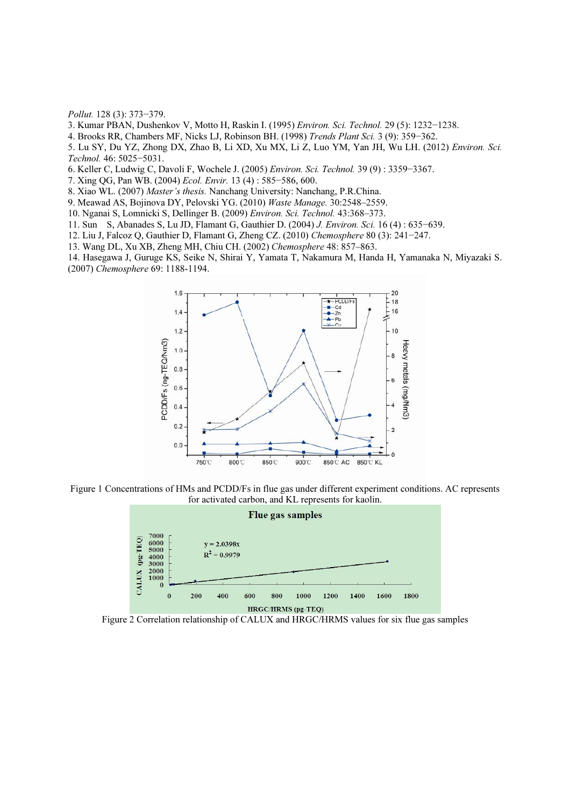Pollut. 128 (3): 373−379.

3. Kumar PBAN, Dushenkov V, Motto H, Raskin I. (1995) Environ. Sci. Technol. 29 (5): 1232−1238.

4. Brooks RR, Chambers MF, Nicks LJ, Robinson BH. (1998) Trends Plant Sci. 3 (9): 359−362.

5. Lu SY, Du YZ, Zhong DX, Zhao B, Li XD, Xu MX, Li Z, Luo YM, Yan JH, Wu LH. (2012) Environ. Sci. Technol. 46: 5025−5031.

6. Keller C, Ludwig C, Davoli F, Wochele J. (2005) Environ. Sci. Technol. 39 (9) : 3359−3367.

7. Xing QG, Pan WB. (2004) Ecol. Envir. 13 (4) : 585−586, 600.

8. Xiao WL. (2007) Master's thesis. Nanchang University: Nanchang, P.R.China.

9. Meawad AS, Bojinova DY, Pelovski YG. (2010) Waste Manage. 30:2548–2559.

10. Nganai S, Lomnicki S, Dellinger B. (2009) Environ. Sci. Technol. 43:368–373.

11. Sun S, Abanades S, Lu JD, Flamant G, Gauthier D. (2004) J. Environ. Sci. 16 (4) : 635−639.

12. Liu J, Falcoz Q, Gauthier D, Flamant G, Zheng CZ. (2010) Chemosphere 80 (3): 241−247.

13. Wang DL, Xu XB, Zheng MH, Chiu CH. (2002) Chemosphere 48: 857–863.

14. Hasegawa J, Guruge KS, Seike N, Shirai Y, Yamata T, Nakamura M, Handa H, Yamanaka N, Miyazaki S. (2007) Chemosphere 69: 1188-1194.



Figure 1 Concentrations of HMs and PCDD/Fs in flue gas under different experiment conditions. AC represents for activated carbon, and KL represents for kaolin.



Figure 2 Correlation relationship of CALUX and HRGC/HRMS values for six flue gas samples